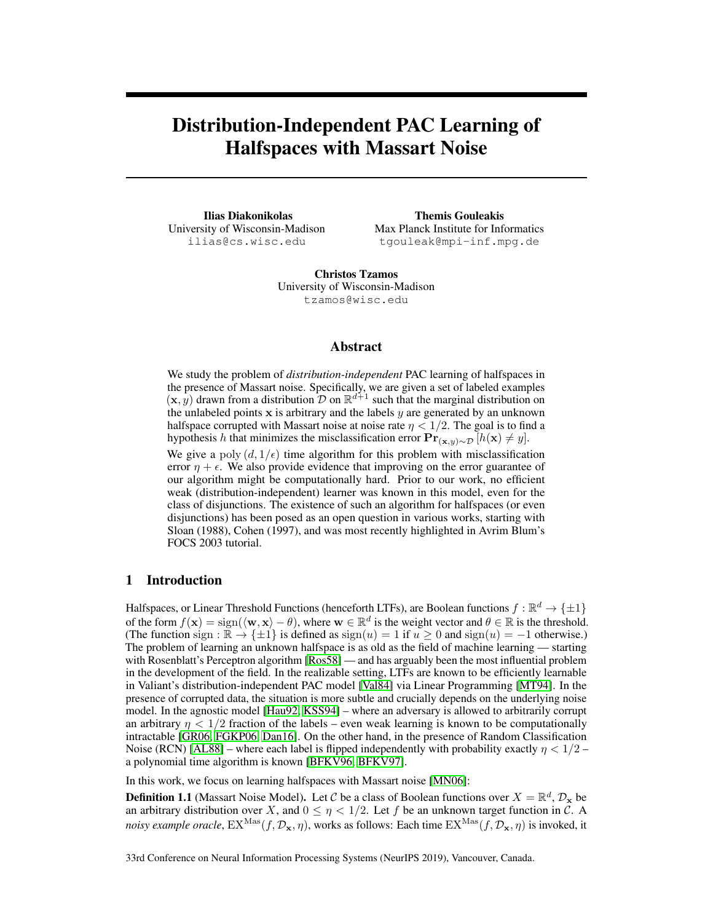# Distribution-Independent PAC Learning of Halfspaces with Massart Noise

Ilias Diakonikolas University of Wisconsin-Madison ilias@cs.wisc.edu

Themis Gouleakis Max Planck Institute for Informatics tgouleak@mpi-inf.mpg.de

Christos Tzamos University of Wisconsin-Madison tzamos@wisc.edu

## Abstract

We study the problem of *distribution-independent* PAC learning of halfspaces in the presence of Massart noise. Specifically, we are given a set of labeled examples  $(\mathbf{x}, y)$  drawn from a distribution  $\mathcal{D}$  on  $\mathbb{R}^{d+1}$  such that the marginal distribution on the unlabeled points  $x$  is arbitrary and the labels  $y$  are generated by an unknown halfspace corrupted with Massart noise at noise rate  $\eta < 1/2$ . The goal is to find a hypothesis h that minimizes the misclassification error  $Pr_{(x,y)\sim\mathcal{D}}[h(x) \neq y]$ .

We give a poly  $(d, 1/\epsilon)$  time algorithm for this problem with misclassification error  $\eta + \epsilon$ . We also provide evidence that improving on the error guarantee of our algorithm might be computationally hard. Prior to our work, no efficient weak (distribution-independent) learner was known in this model, even for the class of disjunctions. The existence of such an algorithm for halfspaces (or even disjunctions) has been posed as an open question in various works, starting with Sloan (1988), Cohen (1997), and was most recently highlighted in Avrim Blum's FOCS 2003 tutorial.

# 1 Introduction

Halfspaces, or Linear Threshold Functions (henceforth LTFs), are Boolean functions  $f : \mathbb{R}^d \to \{\pm 1\}$ of the form  $f(\mathbf{x}) = \text{sign}(\langle \mathbf{w}, \mathbf{x} \rangle - \theta)$ , where  $\mathbf{w} \in \mathbb{R}^d$  is the weight vector and  $\theta \in \mathbb{R}$  is the threshold. (The function sign :  $\mathbb{R} \to \{\pm 1\}$  is defined as sign(u) = 1 if  $u \ge 0$  and sign(u) = -1 otherwise.) The problem of learning an unknown halfspace is as old as the field of machine learning — starting with Rosenblatt's Perceptron algorithm [\[Ros58\]](#page-10-0) — and has arguably been the most influential problem in the development of the field. In the realizable setting, LTFs are known to be efficiently learnable in Valiant's distribution-independent PAC model [\[Val84\]](#page-11-0) via Linear Programming [\[MT94\]](#page-10-1). In the presence of corrupted data, the situation is more subtle and crucially depends on the underlying noise model. In the agnostic model [\[Hau92,](#page-10-2) [KSS94\]](#page-10-3) – where an adversary is allowed to arbitrarily corrupt an arbitrary  $\eta < 1/2$  fraction of the labels – even weak learning is known to be computationally intractable [\[GR06,](#page-10-4) [FGKP06,](#page-10-5) [Dan16\]](#page-9-0). On the other hand, in the presence of Random Classification Noise (RCN) [\[AL88\]](#page-9-1) – where each label is flipped independently with probability exactly  $\eta < 1/2$  – a polynomial time algorithm is known [\[BFKV96,](#page-9-2) [BFKV97\]](#page-9-3).

In this work, we focus on learning halfspaces with Massart noise [\[MN06\]](#page-10-6):

**Definition 1.1** (Massart Noise Model). Let C be a class of Boolean functions over  $X = \mathbb{R}^d$ ,  $\mathcal{D}_x$  be an arbitrary distribution over X, and  $0 \le \eta < 1/2$ . Let f be an unknown target function in C. A *noisy example oracle*,  $\mathrm{EX}^{\mathrm{Mas}}(f, \mathcal{D}_\mathbf{x}, \eta)$ , works as follows: Each time  $\mathrm{EX}^{\mathrm{Mas}}(f, \mathcal{D}_\mathbf{x}, \eta)$  is invoked, it

33rd Conference on Neural Information Processing Systems (NeurIPS 2019), Vancouver, Canada.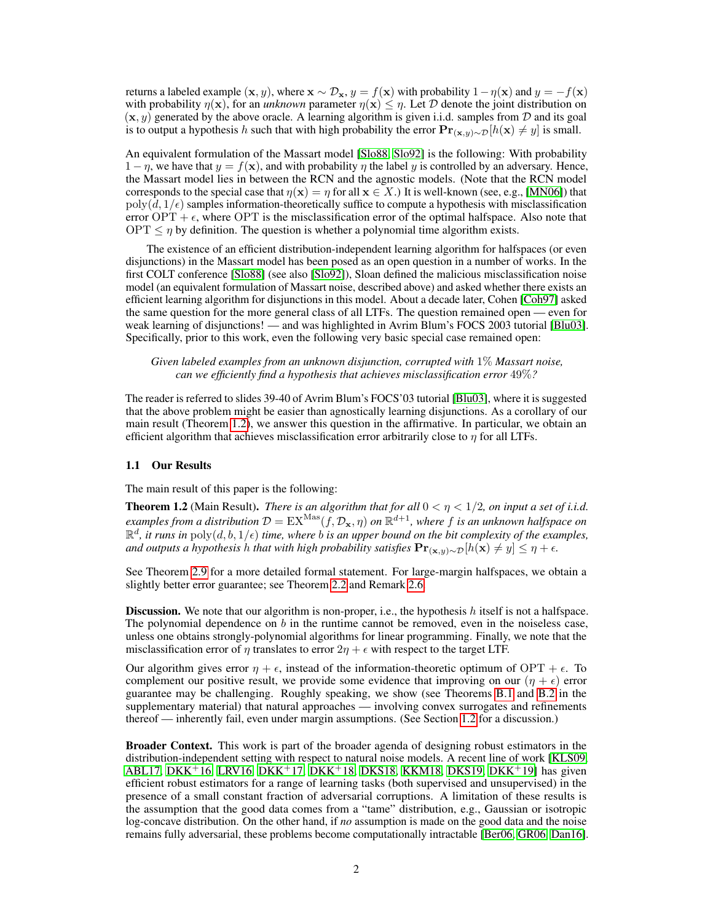returns a labeled example  $(x, y)$ , where  $x \sim \mathcal{D}_x$ ,  $y = f(x)$  with probability  $1 - \eta(x)$  and  $y = -f(x)$ with probability  $\eta(x)$ , for an *unknown* parameter  $\eta(x) \leq \eta$ . Let D denote the joint distribution on  $(x, y)$  generated by the above oracle. A learning algorithm is given i.i.d. samples from  $D$  and its goal is to output a hypothesis h such that with high probability the error  $\mathbf{Pr}_{(\mathbf{x},y) \sim \mathcal{D}}[h(\mathbf{x}) \neq y]$  is small.

An equivalent formulation of the Massart model [\[Slo88,](#page-11-1) [Slo92\]](#page-11-2) is the following: With probability  $1 - \eta$ , we have that  $y = f(x)$ , and with probability  $\eta$  the label y is controlled by an adversary. Hence, the Massart model lies in between the RCN and the agnostic models. (Note that the RCN model corresponds to the special case that  $\eta(\mathbf{x}) = \eta$  for all  $\mathbf{x} \in X$ .) It is well-known (see, e.g., [\[MN06\]](#page-10-6)) that  $poly(d, 1/\epsilon)$  samples information-theoretically suffice to compute a hypothesis with misclassification error OPT +  $\epsilon$ , where OPT is the misclassification error of the optimal halfspace. Also note that  $OPT \leq \eta$  by definition. The question is whether a polynomial time algorithm exists.

The existence of an efficient distribution-independent learning algorithm for halfspaces (or even disjunctions) in the Massart model has been posed as an open question in a number of works. In the first COLT conference [\[Slo88\]](#page-11-1) (see also [\[Slo92\]](#page-11-2)), Sloan defined the malicious misclassification noise model (an equivalent formulation of Massart noise, described above) and asked whether there exists an efficient learning algorithm for disjunctions in this model. About a decade later, Cohen [\[Coh97\]](#page-9-4) asked the same question for the more general class of all LTFs. The question remained open — even for weak learning of disjunctions! — and was highlighted in Avrim Blum's FOCS 2003 tutorial [\[Blu03\]](#page-9-5). Specifically, prior to this work, even the following very basic special case remained open:

*Given labeled examples from an unknown disjunction, corrupted with* 1% *Massart noise, can we efficiently find a hypothesis that achieves misclassification error* 49%*?*

The reader is referred to slides 39-40 of Avrim Blum's FOCS'03 tutorial [\[Blu03\]](#page-9-5), where it is suggested that the above problem might be easier than agnostically learning disjunctions. As a corollary of our main result (Theorem [1.2\)](#page-1-0), we answer this question in the affirmative. In particular, we obtain an efficient algorithm that achieves misclassification error arbitrarily close to  $\eta$  for all LTFs.

#### 1.1 Our Results

The main result of this paper is the following:

<span id="page-1-0"></span>**Theorem 1.2** (Main Result). *There is an algorithm that for all*  $0 < \eta < 1/2$ , *on input a set of i.i.d.*  $e$ xamples from a distribution  $\mathcal{D}=\text{EX}^\text{Mas}(f, \mathcal{D}_\mathbf{x},\eta)$  on  $\mathbb{R}^{d+1}$ , where  $f$  is an unknown halfspace on  $\mathbb{R}^d$ , it runs in  $\text{poly}(d, b, 1/\epsilon)$  time, where b is an upper bound on the bit complexity of the examples, *and outputs a hypothesis h that with high probability satisfies*  $Pr(x,y) \sim D[h(x) \neq y] \leq \eta + \epsilon$ .

See Theorem [2.9](#page-8-0) for a more detailed formal statement. For large-margin halfspaces, we obtain a slightly better error guarantee; see Theorem [2.2](#page-5-0) and Remark [2.6.](#page-7-0)

**Discussion.** We note that our algorithm is non-proper, i.e., the hypothesis h itself is not a halfspace. The polynomial dependence on  $b$  in the runtime cannot be removed, even in the noiseless case, unless one obtains strongly-polynomial algorithms for linear programming. Finally, we note that the misclassification error of  $\eta$  translates to error  $2\eta + \epsilon$  with respect to the target LTF.

Our algorithm gives error  $\eta + \epsilon$ , instead of the information-theoretic optimum of OPT +  $\epsilon$ . To complement our positive result, we provide some evidence that improving on our  $(\eta + \epsilon)$  error guarantee may be challenging. Roughly speaking, we show (see Theorems B.1 and B.2 in the supplementary material) that natural approaches — involving convex surrogates and refinements thereof — inherently fail, even under margin assumptions. (See Section [1.2](#page-2-0) for a discussion.)

**Broader Context.** This work is part of the broader agenda of designing robust estimators in the distribution-independent setting with respect to natural noise models. A recent line of work [\[KLS09,](#page-10-7) [ABL17,](#page-9-6) [DKK](#page-9-10)<sup>+</sup>16, [LRV16,](#page-10-8) DKK<sup>+</sup>17, DKK<sup>+</sup>18, [DKS18,](#page-10-9) [KKM18,](#page-10-10) [DKS19,](#page-10-11) DKK<sup>+</sup>19] has given efficient robust estimators for a range of learning tasks (both supervised and unsupervised) in the presence of a small constant fraction of adversarial corruptions. A limitation of these results is the assumption that the good data comes from a "tame" distribution, e.g., Gaussian or isotropic log-concave distribution. On the other hand, if *no* assumption is made on the good data and the noise remains fully adversarial, these problems become computationally intractable [\[Ber06,](#page-9-11) [GR06,](#page-10-4) [Dan16\]](#page-9-0).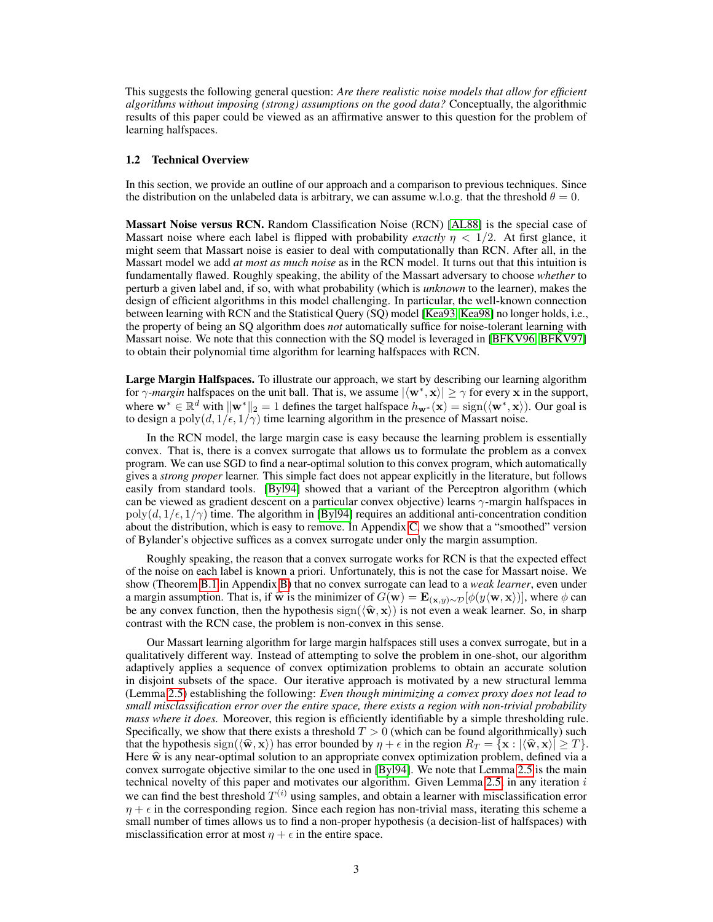This suggests the following general question: *Are there realistic noise models that allow for efficient algorithms without imposing (strong) assumptions on the good data?* Conceptually, the algorithmic results of this paper could be viewed as an affirmative answer to this question for the problem of learning halfspaces.

### <span id="page-2-0"></span>1.2 Technical Overview

In this section, we provide an outline of our approach and a comparison to previous techniques. Since the distribution on the unlabeled data is arbitrary, we can assume w.l.o.g. that the threshold  $\theta = 0$ .

Massart Noise versus RCN. Random Classification Noise (RCN) [\[AL88\]](#page-9-1) is the special case of Massart noise where each label is flipped with probability *exactly*  $\eta$  < 1/2. At first glance, it might seem that Massart noise is easier to deal with computationally than RCN. After all, in the Massart model we add *at most as much noise* as in the RCN model. It turns out that this intuition is fundamentally flawed. Roughly speaking, the ability of the Massart adversary to choose *whether* to perturb a given label and, if so, with what probability (which is *unknown* to the learner), makes the design of efficient algorithms in this model challenging. In particular, the well-known connection between learning with RCN and the Statistical Query (SQ) model [\[Kea93,](#page-10-12) [Kea98\]](#page-10-13) no longer holds, i.e., the property of being an SQ algorithm does *not* automatically suffice for noise-tolerant learning with Massart noise. We note that this connection with the SQ model is leveraged in [\[BFKV96,](#page-9-2) [BFKV97\]](#page-9-3) to obtain their polynomial time algorithm for learning halfspaces with RCN.

Large Margin Halfspaces. To illustrate our approach, we start by describing our learning algorithm for  $\gamma$ *-margin* halfspaces on the unit ball. That is, we assume  $|\langle \mathbf{w}^*, \mathbf{x} \rangle| \geq \gamma$  for every x in the support, where  $\mathbf{w}^* \in \mathbb{R}^d$  with  $\|\mathbf{w}^*\|_2 = 1$  defines the target halfspace  $h_{\mathbf{w}^*}(\mathbf{x}) = \text{sign}(\langle \mathbf{w}^*, \mathbf{x} \rangle)$ . Our goal is to design a poly $(d, 1/\epsilon, 1/\gamma)$  time learning algorithm in the presence of Massart noise.

In the RCN model, the large margin case is easy because the learning problem is essentially convex. That is, there is a convex surrogate that allows us to formulate the problem as a convex program. We can use SGD to find a near-optimal solution to this convex program, which automatically gives a *strong proper* learner. This simple fact does not appear explicitly in the literature, but follows easily from standard tools. [\[Byl94\]](#page-9-12) showed that a variant of the Perceptron algorithm (which can be viewed as gradient descent on a particular convex objective) learns γ-margin halfspaces in  $poly(d, 1/\epsilon, 1/\gamma)$  time. The algorithm in [\[Byl94\]](#page-9-12) requires an additional anti-concentration condition about the distribution, which is easy to remove. In Appendix C, we show that a "smoothed" version of Bylander's objective suffices as a convex surrogate under only the margin assumption.

Roughly speaking, the reason that a convex surrogate works for RCN is that the expected effect of the noise on each label is known a priori. Unfortunately, this is not the case for Massart noise. We show (Theorem B.1 in Appendix B) that no convex surrogate can lead to a *weak learner*, even under a margin assumption. That is, if  $\hat{\mathbf{w}}$  is the minimizer of  $G(\mathbf{w}) = \mathbf{E}_{(\mathbf{x},y) \sim \mathcal{D}}[\phi(y(\mathbf{w}, \mathbf{x}))]$ , where  $\phi$  can be any convex function, then the hypothesis  $sign(\langle \hat{\mathbf{w}}, \mathbf{x} \rangle)$  is not even a weak learner. So, in sharp contrast with the RCN case, the problem is non-convex in this sense.

Our Massart learning algorithm for large margin halfspaces still uses a convex surrogate, but in a qualitatively different way. Instead of attempting to solve the problem in one-shot, our algorithm adaptively applies a sequence of convex optimization problems to obtain an accurate solution in disjoint subsets of the space. Our iterative approach is motivated by a new structural lemma (Lemma [2.5\)](#page-6-0) establishing the following: *Even though minimizing a convex proxy does not lead to small misclassification error over the entire space, there exists a region with non-trivial probability mass where it does.* Moreover, this region is efficiently identifiable by a simple thresholding rule. Specifically, we show that there exists a threshold  $T > 0$  (which can be found algorithmically) such that the hypothesis sign $(\langle \hat{\mathbf{w}}, \mathbf{x} \rangle)$  has error bounded by  $\eta + \epsilon$  in the region  $R_T = {\mathbf{x} : |\langle \hat{\mathbf{w}}, \mathbf{x} \rangle| \ge T}$ . Here  $\hat{\mathbf{w}}$  is any near-optimal solution to an appropriate convex optimization problem, defined via a convex surrogate objective similar to the one used in [\[Byl94\]](#page-9-12). We note that Lemma [2.5](#page-6-0) is the main technical novelty of this paper and motivates our algorithm. Given Lemma [2.5,](#page-6-0) in any iteration  $i$ we can find the best threshold  $T^{(i)}$  using samples, and obtain a learner with misclassification error  $\eta + \epsilon$  in the corresponding region. Since each region has non-trivial mass, iterating this scheme a small number of times allows us to find a non-proper hypothesis (a decision-list of halfspaces) with misclassification error at most  $\eta + \epsilon$  in the entire space.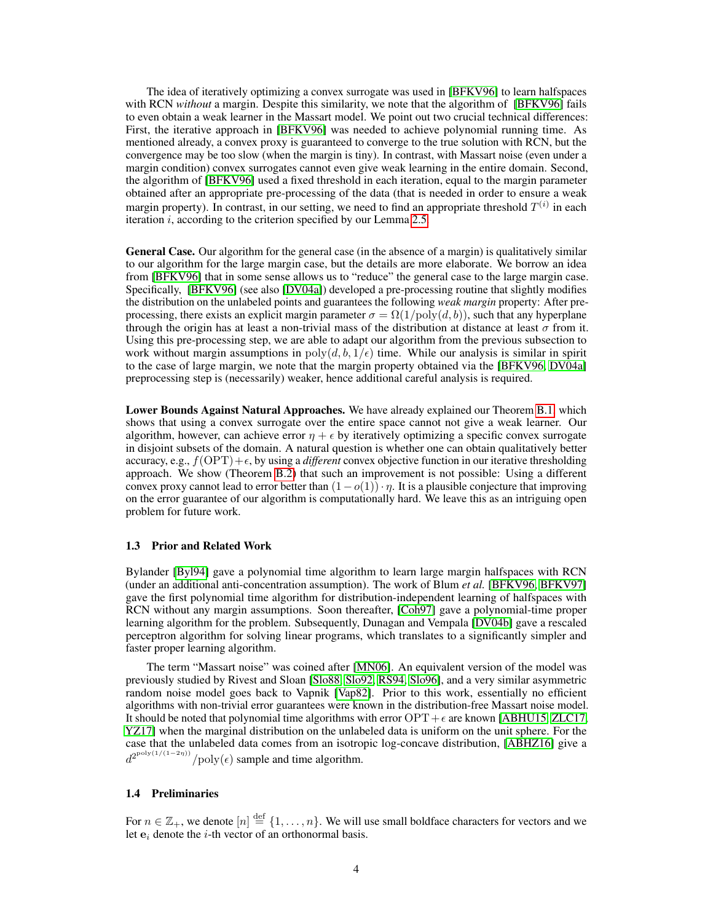The idea of iteratively optimizing a convex surrogate was used in [\[BFKV96\]](#page-9-2) to learn halfspaces with RCN *without* a margin. Despite this similarity, we note that the algorithm of [\[BFKV96\]](#page-9-2) fails to even obtain a weak learner in the Massart model. We point out two crucial technical differences: First, the iterative approach in [\[BFKV96\]](#page-9-2) was needed to achieve polynomial running time. As mentioned already, a convex proxy is guaranteed to converge to the true solution with RCN, but the convergence may be too slow (when the margin is tiny). In contrast, with Massart noise (even under a margin condition) convex surrogates cannot even give weak learning in the entire domain. Second, the algorithm of [\[BFKV96\]](#page-9-2) used a fixed threshold in each iteration, equal to the margin parameter obtained after an appropriate pre-processing of the data (that is needed in order to ensure a weak margin property). In contrast, in our setting, we need to find an appropriate threshold  $T^{(i)}$  in each iteration  $i$ , according to the criterion specified by our Lemma [2.5.](#page-6-0)

General Case. Our algorithm for the general case (in the absence of a margin) is qualitatively similar to our algorithm for the large margin case, but the details are more elaborate. We borrow an idea from [\[BFKV96\]](#page-9-2) that in some sense allows us to "reduce" the general case to the large margin case. Specifically, [\[BFKV96\]](#page-9-2) (see also [\[DV04a\]](#page-10-14)) developed a pre-processing routine that slightly modifies the distribution on the unlabeled points and guarantees the following *weak margin* property: After preprocessing, there exists an explicit margin parameter  $\sigma = \Omega(1/\text{poly}(d, b))$ , such that any hyperplane through the origin has at least a non-trivial mass of the distribution at distance at least  $\sigma$  from it. Using this pre-processing step, we are able to adapt our algorithm from the previous subsection to work without margin assumptions in  $poly(d, b, 1/\epsilon)$  time. While our analysis is similar in spirit to the case of large margin, we note that the margin property obtained via the [\[BFKV96,](#page-9-2) [DV04a\]](#page-10-14) preprocessing step is (necessarily) weaker, hence additional careful analysis is required.

Lower Bounds Against Natural Approaches. We have already explained our Theorem B.1, which shows that using a convex surrogate over the entire space cannot not give a weak learner. Our algorithm, however, can achieve error  $\eta + \epsilon$  by iteratively optimizing a specific convex surrogate in disjoint subsets of the domain. A natural question is whether one can obtain qualitatively better accuracy, e.g.,  $f(OPT) + \epsilon$ , by using a *different* convex objective function in our iterative thresholding approach. We show (Theorem B.2) that such an improvement is not possible: Using a different convex proxy cannot lead to error better than  $(1-o(1)) \cdot \eta$ . It is a plausible conjecture that improving on the error guarantee of our algorithm is computationally hard. We leave this as an intriguing open problem for future work.

#### 1.3 Prior and Related Work

Bylander [\[Byl94\]](#page-9-12) gave a polynomial time algorithm to learn large margin halfspaces with RCN (under an additional anti-concentration assumption). The work of Blum *et al.* [\[BFKV96,](#page-9-2) [BFKV97\]](#page-9-3) gave the first polynomial time algorithm for distribution-independent learning of halfspaces with RCN without any margin assumptions. Soon thereafter, [\[Coh97\]](#page-9-4) gave a polynomial-time proper learning algorithm for the problem. Subsequently, Dunagan and Vempala [\[DV04b\]](#page-10-15) gave a rescaled perceptron algorithm for solving linear programs, which translates to a significantly simpler and faster proper learning algorithm.

The term "Massart noise" was coined after [\[MN06\]](#page-10-6). An equivalent version of the model was previously studied by Rivest and Sloan [\[Slo88,](#page-11-1) [Slo92,](#page-11-2) [RS94,](#page-11-3) [Slo96\]](#page-11-4), and a very similar asymmetric random noise model goes back to Vapnik [\[Vap82\]](#page-11-5). Prior to this work, essentially no efficient algorithms with non-trivial error guarantees were known in the distribution-free Massart noise model. It should be noted that polynomial time algorithms with error  $OPT + \epsilon$  are known [\[ABHU15,](#page-9-13) [ZLC17,](#page-11-6) [YZ17\]](#page-11-7) when the marginal distribution on the unlabeled data is uniform on the unit sphere. For the case that the unlabeled data comes from an isotropic log-concave distribution, [\[ABHZ16\]](#page-9-14) give a  $d^{2^{\text{poly}(1/(1-2\eta))}}$ / $\text{poly}(\epsilon)$  sample and time algorithm.

## 1.4 Preliminaries

For  $n \in \mathbb{Z}_+$ , we denote  $[n] \stackrel{\text{def}}{=} \{1, \ldots, n\}$ . We will use small boldface characters for vectors and we let  $e_i$  denote the *i*-th vector of an orthonormal basis.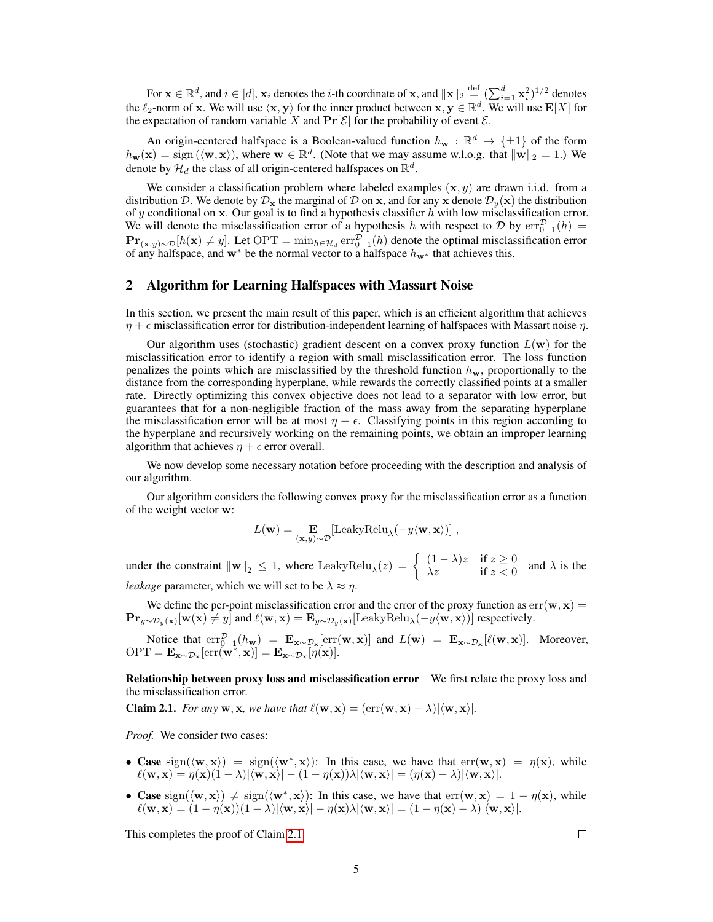For  $\mathbf{x} \in \mathbb{R}^d$ , and  $i \in [d]$ ,  $\mathbf{x}_i$  denotes the *i*-th coordinate of  $\mathbf{x}$ , and  $\|\mathbf{x}\|_2 \stackrel{\text{def}}{=} (\sum_{i=1}^d \mathbf{x}_i^2)^{1/2}$  denotes the  $\ell_2$ -norm of x. We will use  $\langle x, y \rangle$  for the inner product between  $x, y \in \mathbb{R}^d$ . We will use  $E[X]$  for the expectation of random variable X and  $\Pr[\mathcal{E}]$  for the probability of event  $\mathcal{E}$ .

An origin-centered halfspace is a Boolean-valued function  $h_{\bf w}: \mathbb{R}^d \to {\{\pm 1\}}$  of the form  $h_{\mathbf{w}}(\mathbf{x}) = \text{sign}(\langle \mathbf{w}, \mathbf{x} \rangle)$ , where  $\mathbf{w} \in \mathbb{R}^d$ . (Note that we may assume w.l.o.g. that  $\|\mathbf{w}\|_2 = 1$ .) We denote by  $\mathcal{H}_d$  the class of all origin-centered halfspaces on  $\mathbb{R}^d$ .

We consider a classification problem where labeled examples  $(x, y)$  are drawn i.i.d. from a distribution D. We denote by  $\mathcal{D}_x$  the marginal of D on x, and for any x denote  $\mathcal{D}_y(x)$  the distribution of y conditional on x. Our goal is to find a hypothesis classifier  $h$  with low misclassification error. We will denote the misclassification error of a hypothesis h with respect to D by  $err_{0-1}^{\mathcal{D}}(h)$  =  $\mathbf{Pr}_{(\mathbf{x},y)\sim\mathcal{D}}[h(\mathbf{x})\neq y]$ . Let  $\mathrm{OPT}=\min_{h\in\mathcal{H}_d}\mathrm{err}_{0-1}^{\mathcal{D}}(h)$  denote the optimal misclassification error of any halfspace, and w<sup>∗</sup> be the normal vector to a halfspace  $h_{w*}$  that achieves this.

## 2 Algorithm for Learning Halfspaces with Massart Noise

In this section, we present the main result of this paper, which is an efficient algorithm that achieves  $\eta + \epsilon$  misclassification error for distribution-independent learning of halfspaces with Massart noise  $\eta$ .

Our algorithm uses (stochastic) gradient descent on a convex proxy function  $L(\mathbf{w})$  for the misclassification error to identify a region with small misclassification error. The loss function penalizes the points which are misclassified by the threshold function  $h_w$ , proportionally to the distance from the corresponding hyperplane, while rewards the correctly classified points at a smaller rate. Directly optimizing this convex objective does not lead to a separator with low error, but guarantees that for a non-negligible fraction of the mass away from the separating hyperplane the misclassification error will be at most  $\eta + \epsilon$ . Classifying points in this region according to the hyperplane and recursively working on the remaining points, we obtain an improper learning algorithm that achieves  $\eta + \epsilon$  error overall.

We now develop some necessary notation before proceeding with the description and analysis of our algorithm.

Our algorithm considers the following convex proxy for the misclassification error as a function of the weight vector w:

$$
L(\mathbf{w}) = \mathop{\mathbf{E}}_{(\mathbf{x},y)\sim\mathcal{D}}[\text{LeakyRelu}_{\lambda}(-y\langle \mathbf{w}, \mathbf{x} \rangle)] ,
$$

under the constraint  $\|\mathbf{w}\|_2 \leq 1$ , where LeakyRelu $_{\lambda}(z) = \begin{cases} (1-\lambda)z & \text{if } z \geq 0 \\ \lambda z & \text{if } z < 0 \end{cases}$  $\lambda z$  if  $z < 0$  and  $\lambda$  is the *leakage* parameter, which we will set to be  $\lambda \approx \eta$ .

We define the per-point misclassification error and the error of the proxy function as  $err(\mathbf{w}, \mathbf{x}) =$  $\mathbf{Pr}_{y \sim \mathcal{D}_y(\mathbf{x})}[\mathbf{w}(\mathbf{x}) \neq y]$  and  $\ell(\mathbf{w}, \mathbf{x}) = \mathbf{E}_{y \sim \mathcal{D}_y(\mathbf{x})}[\text{LeakyRelu}_{\lambda}(-y \langle \mathbf{w}, \mathbf{x} \rangle)]$  respectively.

Notice that  $err_{0-1}^{\mathcal{D}}(h_{\mathbf{w}}) = \mathbf{E}_{\mathbf{x} \sim \mathcal{D}_{\mathbf{x}}}[err(\mathbf{w}, \mathbf{x})]$  and  $L(\mathbf{w}) = \mathbf{E}_{\mathbf{x} \sim \mathcal{D}_{\mathbf{x}}}[\ell(\mathbf{w}, \mathbf{x})]$ . Moreover,  $\text{OPT} = \mathbf{E}_{\mathbf{x} \sim \mathcal{D}_{\mathbf{x}}}[\text{err}(\mathbf{w}^*, \mathbf{x})] = \mathbf{E}_{\mathbf{x} \sim \mathcal{D}_{\mathbf{x}}}[\hat{\eta}(\mathbf{x})].$ 

Relationship between proxy loss and misclassification error We first relate the proxy loss and the misclassification error.

<span id="page-4-0"></span>**Claim 2.1.** *For any* **w**, **x**, we have that  $\ell(\mathbf{w}, \mathbf{x}) = (\text{err}(\mathbf{w}, \mathbf{x}) - \lambda) | \langle \mathbf{w}, \mathbf{x} \rangle |$ *.* 

*Proof.* We consider two cases:

- Case  $sign(\langle w, x \rangle) = sign(\langle w^*, x \rangle)$ : In this case, we have that  $err(w, x) = \eta(x)$ , while  $\ell(\mathbf{w}, \mathbf{x}) = \eta(\mathbf{x})(1 - \lambda)|\langle \mathbf{w}, \mathbf{x}\rangle| - (1 - \eta(\mathbf{x}))\lambda|\langle \mathbf{w}, \mathbf{x}\rangle| = (\eta(\mathbf{x}) - \lambda)|\langle \mathbf{w}, \mathbf{x}\rangle|.$
- Case sign( $\langle w, x \rangle$ )  $\neq$  sign( $\langle w^*, x \rangle$ ): In this case, we have that  $err(w, x) = 1 \eta(x)$ , while  $\ell(\mathbf{w}, \mathbf{x}) = (1 - \eta(\mathbf{x}))(1 - \lambda)|\langle \mathbf{w}, \mathbf{x}\rangle| - \eta(\mathbf{x})\lambda|\langle \mathbf{w}, \mathbf{x}\rangle| = (1 - \eta(\mathbf{x}) - \lambda)|\langle \mathbf{w}, \mathbf{x}\rangle|.$

This completes the proof of Claim [2.1.](#page-4-0)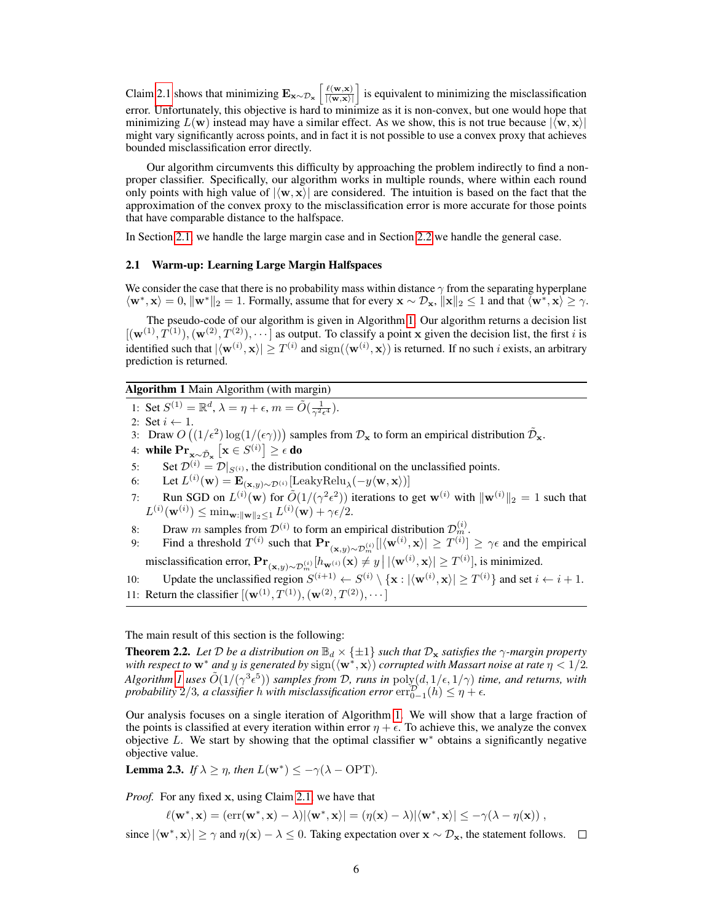Claim [2.1](#page-4-0) shows that minimizing  $\mathbf{E}_{\mathbf{x} \sim \mathcal{D}_{\mathbf{x}}} \left[ \frac{\ell(\mathbf{w},\mathbf{x})}{|\langle \mathbf{w}, \mathbf{x} \rangle|} \right]$  is equivalent to minimizing the misclassification error. Unfortunately, this objective is hard to minimize as it is non-convex, but one would hope that minimizing  $L(\mathbf{w})$  instead may have a similar effect. As we show, this is not true because  $|\langle \mathbf{w}, \mathbf{x} \rangle|$ might vary significantly across points, and in fact it is not possible to use a convex proxy that achieves bounded misclassification error directly.

Our algorithm circumvents this difficulty by approaching the problem indirectly to find a nonproper classifier. Specifically, our algorithm works in multiple rounds, where within each round only points with high value of  $|\langle w, x \rangle|$  are considered. The intuition is based on the fact that the approximation of the convex proxy to the misclassification error is more accurate for those points that have comparable distance to the halfspace.

In Section [2.1,](#page-5-1) we handle the large margin case and in Section [2.2](#page-5-0) we handle the general case.

#### <span id="page-5-1"></span>2.1 Warm-up: Learning Large Margin Halfspaces

We consider the case that there is no probability mass within distance  $\gamma$  from the separating hyperplane  $\langle \mathbf{w}^*, \mathbf{x} \rangle = 0$ ,  $\|\mathbf{w}^*\|_2 = 1$ . Formally, assume that for every  $\mathbf{x} \sim \mathcal{D}_{\mathbf{x}}$ ,  $\|\mathbf{x}\|_2 \le 1$  and that  $\langle \mathbf{w}^*, \mathbf{x} \rangle \ge \gamma$ .

The pseudo-code of our algorithm is given in Algorithm [1.](#page-5-2) Our algorithm returns a decision list  $[(\mathbf{w}^{(1)}, T^{(1)}), (\mathbf{w}^{(2)}, T^{(2)}), \cdots]$  as output. To classify a point x given the decision list, the first i is identified such that  $|\langle \mathbf{w}^{(i)}, \mathbf{x} \rangle| \geq T^{(i)}$  and  $\text{sign}(\langle \mathbf{w}^{(i)}, \mathbf{x} \rangle)$  is returned. If no such i exists, an arbitrary prediction is returned.

## Algorithm 1 Main Algorithm (with margin)

<span id="page-5-2"></span>1: Set  $S^{(1)} = \mathbb{R}^d$ ,  $\lambda = \eta + \epsilon$ ,  $m = \tilde{O}(\frac{1}{\gamma^2 \epsilon^4})$ .

2: Set  $i \leftarrow 1$ .

- 3: Draw  $O((1/\epsilon^2) \log(1/(\epsilon \gamma)))$  samples from  $\mathcal{D}_x$  to form an empirical distribution  $\tilde{\mathcal{D}}_x$ .
- 4: while  $\mathrm{Pr}_{\mathbf{x} \sim \tilde{\mathcal{D}}_{\mathbf{x}}}\left[\mathbf{x} \in S^{(i)}\right] \geq \epsilon$  do
- 5: Set  $\mathcal{D}^{(i)} = \mathcal{D}|_{S^{(i)}}$ , the distribution conditional on the unclassified points.
- 6: Let  $L^{(i)}(\mathbf{w}) = \mathbf{E}_{(\mathbf{x},y) \sim \mathcal{D}^{(i)}}[\text{LeakyRelu}_{\lambda}(-y \langle \mathbf{w}, \mathbf{x} \rangle)]$
- 7: Run SGD on  $L^{(i)}(\mathbf{w})$  for  $\tilde{O}(1/(\gamma^2 \epsilon^2))$  iterations to get  $\mathbf{w}^{(i)}$  with  $\|\mathbf{w}^{(i)}\|_2 = 1$  such that  $L^{(i)}(\mathbf{w}^{(i)}) \leq \min_{\mathbf{w}: \|\mathbf{w}\|_2 \leq 1} L^{(i)}(\mathbf{w}) + \gamma \epsilon/2.$
- 8: Draw m samples from  $\mathcal{D}^{(i)}$  to form an empirical distribution  $\mathcal{D}_m^{(i)}$ .
- 9: Find a threshold  $T^{(i)}$  such that  $\mathbf{Pr}_{(\mathbf{x},y)\sim\mathcal{D}_m^{(i)}}[|\langle \mathbf{w}^{(i)}, \mathbf{x}\rangle| \geq T^{(i)}] \geq \gamma \epsilon$  and the empirical misclassification error,  $\mathbf{Pr}_{(\mathbf{x}, y) \sim \mathcal{D}_m^{(i)}}[h_{\mathbf{w}^{(i)}}(\mathbf{x}) \neq y \,|\, |\langle \mathbf{w}^{(i)}, \mathbf{x} \rangle| \geq T^{(i)}],$  is minimized.

10: Update the unclassified region  $S^{(i+1)} \leftarrow S^{(i)} \setminus {\mathbf{x} : |\langle \mathbf{w}^{(i)}, \mathbf{x} \rangle| \ge T^{(i)}}$  and set  $i \leftarrow i+1$ . 11: Return the classifier  $[(\mathbf{w}^{(1)}, T^{(1)}), (\mathbf{w}^{(2)}, T^{(2)}), \cdots]$ 

#### The main result of this section is the following:

<span id="page-5-0"></span>**Theorem 2.2.** *Let*  $D$  *be a distribution on*  $\mathbb{B}_d \times \{\pm 1\}$  *such that*  $D_x$  *satisfies the*  $\gamma$ *-margin property* with respect to  $w^*$  and  $y$  is generated by  $\text{sign}(\langle w^*, {\bf x}\rangle)$  corrupted with Massart noise at rate  $\eta < 1/2$ . *Algorithm [1](#page-5-2) uses*  $\tilde{O}(1/(\gamma^3 \epsilon^5))$  *samples from D, runs in*  $\text{poly}(d, 1/\epsilon, 1/\gamma)$  *time, and returns, with probability*  $2/3$ *, a classifier h with misclassification error*  $\mathrm{err}_{0-1}^{\mathcal{D}}(h) \leq \eta + \epsilon$ .

Our analysis focuses on a single iteration of Algorithm [1.](#page-5-2) We will show that a large fraction of the points is classified at every iteration within error  $\eta + \epsilon$ . To achieve this, we analyze the convex objective L. We start by showing that the optimal classifier  $w^*$  obtains a significantly negative objective value.

<span id="page-5-3"></span>**Lemma 2.3.** *If*  $\lambda \geq \eta$ *, then*  $L(\mathbf{w}^*) \leq -\gamma(\lambda - \text{OPT})$ *.* 

*Proof.* For any fixed x, using Claim [2.1,](#page-4-0) we have that

 $\ell(\mathbf{w}^*, \mathbf{x}) = (\text{err}(\mathbf{w}^*, \mathbf{x}) - \lambda) |\langle \mathbf{w}^*, \mathbf{x} \rangle| = (\eta(\mathbf{x}) - \lambda) |\langle \mathbf{w}^*, \mathbf{x} \rangle| \le -\gamma(\lambda - \eta(\mathbf{x})),$ 

since  $|\langle w^*, x \rangle| \ge \gamma$  and  $\eta(x) - \lambda \le 0$ . Taking expectation over  $x \sim \mathcal{D}_x$ , the statement follows.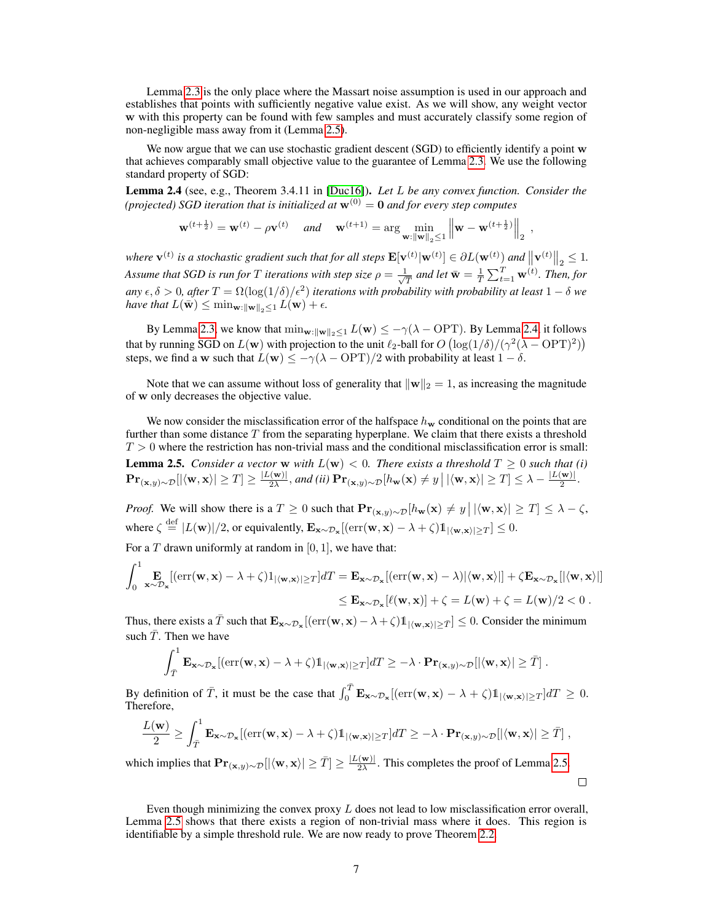Lemma [2.3](#page-5-3) is the only place where the Massart noise assumption is used in our approach and establishes that points with sufficiently negative value exist. As we will show, any weight vector w with this property can be found with few samples and must accurately classify some region of non-negligible mass away from it (Lemma [2.5\)](#page-6-0).

We now argue that we can use stochastic gradient descent (SGD) to efficiently identify a point w that achieves comparably small objective value to the guarantee of Lemma [2.3.](#page-5-3) We use the following standard property of SGD:

<span id="page-6-1"></span>Lemma 2.4 (see, e.g., Theorem 3.4.11 in [\[Duc16\]](#page-10-16)). *Let* L *be any convex function. Consider the (projected) SGD iteration that is initialized at*  $\mathbf{w}^{(0)} = \mathbf{0}$  *and for every step computes* 

$$
\mathbf{w}^{(t+\frac{1}{2})} = \mathbf{w}^{(t)} - \rho \mathbf{v}^{(t)} \quad \text{and} \quad \mathbf{w}^{(t+1)} = \arg \min_{\mathbf{w} : \|\mathbf{w}\|_2 \le 1} \left\| \mathbf{w} - \mathbf{w}^{(t+\frac{1}{2})} \right\|_2,
$$

*where*  $\mathbf{v}^{(t)}$  is a stochastic gradient such that for all steps  $\mathbf{E}[\mathbf{v}^{(t)}|\mathbf{w}^{(t)}] \in \partial L(\mathbf{w}^{(t)})$  and  $\left\|\mathbf{v}^{(t)}\right\|_2 \leq 1$ . *Assume that SGD is run for*  $T$  *iterations with step size*  $\rho = \frac{1}{\sqrt{2}}$  $\frac{1}{T}$  and let  $\bar{\textbf{w}} = \frac{1}{T} \sum_{t=1}^T \textbf{w}^{(t)}$ *. Then, for* any  $\epsilon, \delta > 0$ , after  $T = \Omega(\log(1/\delta)/\epsilon^2)$  *iterations with probability with probability at least*  $1 - \delta$  *we have that*  $L(\bar{\mathbf{w}}) \leq \min_{\mathbf{w}: \|\mathbf{w}\|_2 \leq 1} L(\mathbf{w}) + \epsilon.$ 

By Lemma [2.3,](#page-5-3) we know that  $\min_{\mathbf{w}:\|\mathbf{w}\|_2\leq 1} L(\mathbf{w}) \leq -\gamma(\lambda - \text{OPT})$ . By Lemma [2.4,](#page-6-1) it follows that by running SGD on  $L(\mathbf{w})$  with projection to the unit  $\ell_2$ -ball for  $O(\log(1/\delta)/(\gamma^2(\lambda - OPT)^2))$ steps, we find a w such that  $L(\mathbf{w}) \le -\gamma(\lambda - \text{OPT})/2$  with probability at least  $1 - \delta$ .

Note that we can assume without loss of generality that  $\|\mathbf{w}\|_2 = 1$ , as increasing the magnitude of w only decreases the objective value.

<span id="page-6-0"></span>We now consider the misclassification error of the halfspace  $h_w$  conditional on the points that are further than some distance  $T$  from the separating hyperplane. We claim that there exists a threshold  $T > 0$  where the restriction has non-trivial mass and the conditional misclassification error is small: **Lemma 2.5.** *Consider a vector* **w** *with*  $L(\mathbf{w}) < 0$ *. There exists a threshold*  $T \ge 0$  *such that (i)*  $\mathbf{Pr}_{(\mathbf{x}, y) \sim \mathcal{D}}[|\langle \mathbf{w}, \mathbf{x} \rangle| \geq T] \geq \frac{|L(\mathbf{w})|}{2\lambda}$  $\frac{|\mathbf{w}|}{2\lambda}$ , and (ii)  $\mathbf{Pr}_{(\mathbf{x},y)\sim\mathcal{D}}[h_{\mathbf{w}}(\mathbf{x}) \neq y \,|\, |\langle \mathbf{w}, \mathbf{x} \rangle| \geq T ] \leq \lambda - \frac{|L(\mathbf{w})|}{2}$  $\frac{|\mathbf{w})|}{2}$ .

*Proof.* We will show there is a  $T \ge 0$  such that  $Pr_{(\mathbf{x}, y) \sim \mathcal{D}}[h_{\mathbf{w}}(\mathbf{x}) \neq y | |\langle \mathbf{w}, \mathbf{x} \rangle| \ge T] \le \lambda - \zeta$ , where  $\zeta \stackrel{\text{def}}{=} |L(\mathbf{w})|/2$ , or equivalently,  $\mathbf{E}_{\mathbf{x} \sim \mathcal{D}_{\mathbf{x}}}[(\text{err}(\mathbf{w}, \mathbf{x}) - \lambda + \zeta)\mathbb{1}_{|\langle \mathbf{w}, \mathbf{x} \rangle| \geq T}] \leq 0$ .

For a T drawn uniformly at random in  $[0, 1]$ , we have that:

$$
\int_0^1 \mathbf{E}_{\mathbf{x}\sim\mathcal{D}_{\mathbf{x}}} [(\text{err}(\mathbf{w}, \mathbf{x}) - \lambda + \zeta) \mathbf{1}_{|\langle \mathbf{w}, \mathbf{x} \rangle| \ge T}] dT = \mathbf{E}_{\mathbf{x}\sim\mathcal{D}_{\mathbf{x}}} [(\text{err}(\mathbf{w}, \mathbf{x}) - \lambda) | \langle \mathbf{w}, \mathbf{x} \rangle |] + \zeta \mathbf{E}_{\mathbf{x}\sim\mathcal{D}_{\mathbf{x}}} [|\langle \mathbf{w}, \mathbf{x} \rangle|]
$$
  

$$
\le \mathbf{E}_{\mathbf{x}\sim\mathcal{D}_{\mathbf{x}}} [\ell(\mathbf{w}, \mathbf{x})] + \zeta = L(\mathbf{w}) + \zeta = L(\mathbf{w})/2 < 0.
$$

Thus, there exists a  $\bar{T}$  such that  $\mathbf{E}_{\mathbf{x} \sim \mathcal{D}_{\mathbf{x}}}[(\text{err}(\mathbf{w}, \mathbf{x}) - \lambda + \zeta) \mathbb{1}_{|\langle \mathbf{w}, \mathbf{x} \rangle| \geq \bar{T}}] \leq 0$ . Consider the minimum such  $\overline{T}$ . Then we have

$$
\int_{\overline{T}}^1 \mathbf{E}_{\mathbf{x} \sim \mathcal{D}_{\mathbf{x}}} [(\text{err}(\mathbf{w}, \mathbf{x}) - \lambda + \zeta) \mathbb{1}_{|\langle \mathbf{w}, \mathbf{x} \rangle| \ge T}] dT \ge -\lambda \cdot \mathbf{Pr}_{(\mathbf{x}, y) \sim \mathcal{D}} [|\langle \mathbf{w}, \mathbf{x} \rangle| \ge \overline{T}].
$$

By definition of  $\overline{T}$ , it must be the case that  $\int_0^{\overline{T}} \mathbf{E}_{\mathbf{x} \sim \mathcal{D}_{\mathbf{x}}} [(\text{err}(\mathbf{w}, \mathbf{x}) - \lambda + \zeta) \mathbb{1}_{|\langle \mathbf{w}, \mathbf{x} \rangle| \ge T}] dT \ge 0$ . Therefore,

$$
\frac{L(\mathbf{w})}{2} \geq \int_{\overline{T}}^1 \mathbf{E}_{\mathbf{x} \sim \mathcal{D}_{\mathbf{x}}} [(\text{err}(\mathbf{w}, \mathbf{x}) - \lambda + \zeta) \mathbb{1}_{|\langle \mathbf{w}, \mathbf{x} \rangle| \geq T}] dT \geq -\lambda \cdot \mathbf{Pr}_{(\mathbf{x}, y) \sim \mathcal{D}} [|\langle \mathbf{w}, \mathbf{x} \rangle| \geq \overline{T}] ,
$$

which implies that  $\mathbf{Pr}_{(\mathbf{x}, y) \sim \mathcal{D}}[|\langle \mathbf{w}, \mathbf{x} \rangle| \geq \bar{T}] \geq \frac{|L(\mathbf{w})|}{2\lambda}$  $\frac{2\lambda}{2\lambda}$ . This completes the proof of Lemma [2.5.](#page-6-0)

 $\Box$ 

Even though minimizing the convex proxy  $L$  does not lead to low misclassification error overall, Lemma [2.5](#page-6-0) shows that there exists a region of non-trivial mass where it does. This region is identifiable by a simple threshold rule. We are now ready to prove Theorem [2.2.](#page-5-0)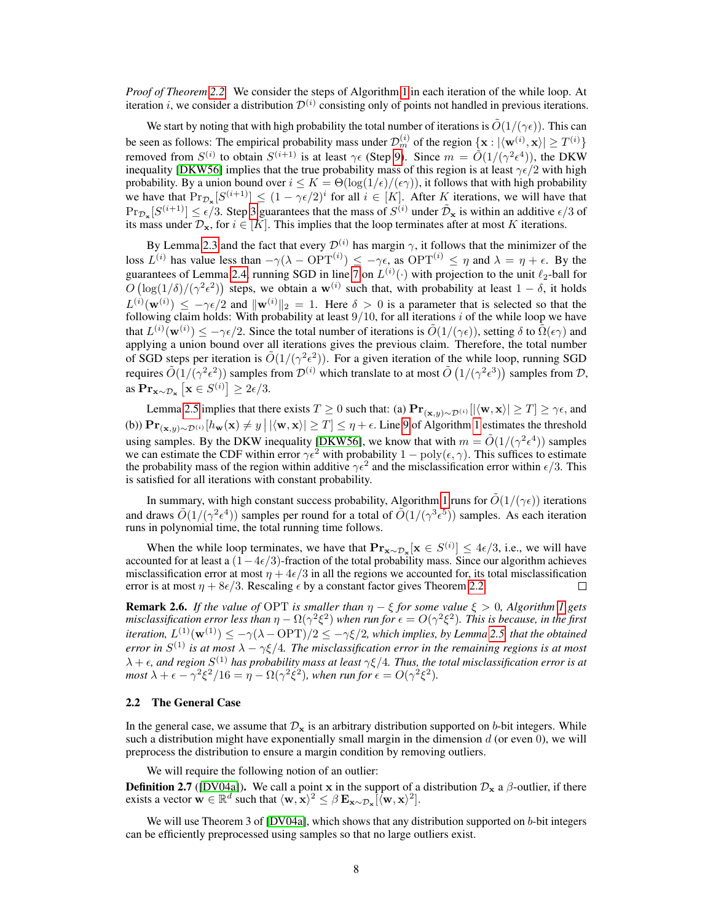*Proof of Theorem [2.2.](#page-5-0)* We consider the steps of Algorithm [1](#page-5-2) in each iteration of the while loop. At iteration *i*, we consider a distribution  $\mathcal{D}^{(i)}$  consisting only of points not handled in previous iterations.

We start by noting that with high probability the total number of iterations is  $\tilde{O}(1/(\gamma\epsilon))$ . This can be seen as follows: The empirical probability mass under  $\mathcal{D}_m^{(i)}$  of the region  $\{ \mathbf{x} : |\langle \mathbf{w}^{(i)}, \mathbf{x} \rangle| \ge T^{(i)} \}$ removed from  $S^{(i)}$  to obtain  $S^{(i+1)}$  is at least  $\gamma \epsilon$  (Step [9\)](#page-5-2). Since  $m = \tilde{O}(1/(\gamma^2 \epsilon^4))$ , the DKW inequality [\[DKW56\]](#page-10-17) implies that the true probability mass of this region is at least  $\gamma \epsilon/2$  with high probability. By a union bound over  $i \leq K = \Theta(\log(1/\epsilon)/(\epsilon \gamma))$ , it follows that with high probability we have that  $\Pr_{\mathcal{D}_{\mathbf{x}}}[S^{(i+1)}] \leq (1 - \gamma \epsilon/2)^i$  for all  $i \in [K]$ . After K iterations, we will have that  $\Pr_{\mathcal{D}_{\mathbf{x}}}[S^{(i+1)}] \leq \epsilon/3$ . Step [3](#page-5-2) guarantees that the mass of  $S^{(i)}$  under  $\tilde{\mathcal{D}}_{\mathbf{x}}$  is within an additive  $\epsilon/3$  of its mass under  $\mathcal{D}_{\mathbf{x}}$ , for  $i \in [K]$ . This implies that the loop terminates after at most K iterations.

By Lemma [2.3](#page-5-3) and the fact that every  $\mathcal{D}^{(i)}$  has margin  $\gamma$ , it follows that the minimizer of the loss  $L^{(i)}$  has value less than  $-\gamma(\lambda - \text{OPT}^{(i)}) \leq -\gamma \epsilon$ , as  $\text{OPT}^{(i)} \leq \eta$  and  $\lambda = \eta + \epsilon$ . By the guarantees of Lemma [2.4,](#page-6-1) running SGD in line [7](#page-5-2) on  $L^{(i)}(\cdot)$  with projection to the unit  $\ell_2$ -ball for  $O\left(\log(1/\delta)/(\gamma^2\epsilon^2)\right)$  steps, we obtain a w<sup>(i)</sup> such that, with probability at least  $1-\delta$ , it holds  $L^{(i)}(\mathbf{w}^{(i)}) \leq -\gamma \epsilon/2$  and  $\|\mathbf{w}^{(i)}\|_2 = 1$ . Here  $\delta > 0$  is a parameter that is selected so that the following claim holds: With probability at least  $9/10$ , for all iterations i of the while loop we have that  $L^{(i)}(\mathbf{w}^{(i)}) \le -\gamma \epsilon/2$ . Since the total number of iterations is  $\tilde{O}(1/(\gamma \epsilon))$ , setting  $\delta$  to  $\tilde{\Omega}(\epsilon \gamma)$  and applying a union bound over all iterations gives the previous claim. Therefore, the total number of SGD steps per iteration is  $\tilde{O}(1/(\gamma^2 \epsilon^2))$ . For a given iteration of the while loop, running SGD requires  $\tilde{O}(1/(\gamma^2 \epsilon^2))$  samples from  $\mathcal{D}^{(i)}$  which translate to at most  $\tilde{O}(1/(\gamma^2 \epsilon^3))$  samples from  $\mathcal{D}$ , as  $\mathbf{Pr}_{\mathbf{x} \sim \mathcal{D}_{\mathbf{x}}} \left[ \mathbf{x} \in S^{(i)} \right] \geq 2\epsilon/3.$ 

Lemma [2.5](#page-6-0) implies that there exists  $T \ge 0$  such that: (a)  $Pr_{(x,y)\sim \mathcal{D}^{(i)}}[|\langle \mathbf{w}, \mathbf{x} \rangle| \ge T] \ge \gamma \epsilon$ , and (b))  $\mathbf{Pr}_{(\mathbf{x},y) \sim \mathcal{D}^{(i)}}[h_{\mathbf{w}}(\mathbf{x}) \neq y \mid |\langle \mathbf{w}, \mathbf{x} \rangle| \geq T] \leq \eta + \epsilon$ . Line [9](#page-5-2) of Algorithm [1](#page-5-2) estimates the threshold using samples. By the DKW inequality [\[DKW56\]](#page-10-17), we know that with  $m = \tilde{O}(1/(\gamma^2 \epsilon^4))$  samples we can estimate the CDF within error  $\gamma \epsilon^2$  with probability  $1 - \text{poly}(\epsilon, \gamma)$ . This suffices to estimate the probability mass of the region within additive  $\gamma \epsilon^2$  and the misclassification error within  $\epsilon/3$ . This is satisfied for all iterations with constant probability.

In summary, with high constant success probability, Algorithm [1](#page-5-2) runs for  $\tilde{O}(1/(\gamma\epsilon))$  iterations and draws  $\tilde{O}(1/(\gamma^2 \epsilon^4))$  samples per round for a total of  $\tilde{O}(1/(\gamma^3 \epsilon^5))$  samples. As each iteration runs in polynomial time, the total running time follows.

When the while loop terminates, we have that  $\mathbf{Pr}_{\mathbf{x} \sim \mathcal{D}_{\mathbf{x}}}[\mathbf{x} \in S^{(i)}] \leq 4\epsilon/3$ , i.e., we will have accounted for at least a  $(1-4\epsilon/3)$ -fraction of the total probability mass. Since our algorithm achieves misclassification error at most  $\eta + 4\epsilon/3$  in all the regions we accounted for, its total misclassification error is at most  $\eta + 8\epsilon/3$ . Rescaling  $\epsilon$  by a constant factor gives Theorem [2.2.](#page-5-0)  $\Box$ 

<span id="page-7-0"></span>**Remark 2.6.** *If the value of* OPT *is smaller than*  $\eta - \xi$  *for some value*  $\xi > 0$ *, Algorithm* [1](#page-5-2) *gets* misclassification error less than  $\eta-\Omega(\gamma^2\xi^2)$  when run for  $\epsilon=O(\gamma^2\xi^2)$ . This is because, in the first *iteration,*  $L^{(1)}(\mathbf{w}^{(1)}) \le -\gamma(\lambda - \text{OPT})/2 \le -\gamma \xi/2$ , which implies, by Lemma [2.5,](#page-6-0) that the obtained *error in*  $S^{(1)}$  *is at most*  $\lambda - \gamma \xi/4$ . The misclassification error in the remaining regions is at most  $\lambda+\epsilon$ , and region  $S^{(1)}$  has probability mass at least  $\gamma \xi/4$ . Thus, the total misclassification error is at *most*  $\lambda + \epsilon - \gamma^2 \xi^2 / 16 = \eta - \Omega(\gamma^2 \xi^2)$ , when run for  $\epsilon = O(\gamma^2 \xi^2)$ .

#### 2.2 The General Case

In the general case, we assume that  $\mathcal{D}_{\mathbf{x}}$  is an arbitrary distribution supported on b-bit integers. While such a distribution might have exponentially small margin in the dimension  $d$  (or even 0), we will preprocess the distribution to ensure a margin condition by removing outliers.

We will require the following notion of an outlier:

**Definition 2.7** ([\[DV04a\]](#page-10-14)). We call a point x in the support of a distribution  $\mathcal{D}_x$  a  $\beta$ -outlier, if there exists a vector  $\mathbf{w} \in \mathbb{R}^d$  such that  $\langle \mathbf{w}, \mathbf{x} \rangle^2 \leq \beta \mathbf{E}_{\mathbf{x} \sim \mathcal{D}_{\mathbf{x}}} [\langle \mathbf{w}, \mathbf{x} \rangle^2]$ .

<span id="page-7-1"></span>We will use Theorem 3 of [\[DV04a\]](#page-10-14), which shows that any distribution supported on b-bit integers can be efficiently preprocessed using samples so that no large outliers exist.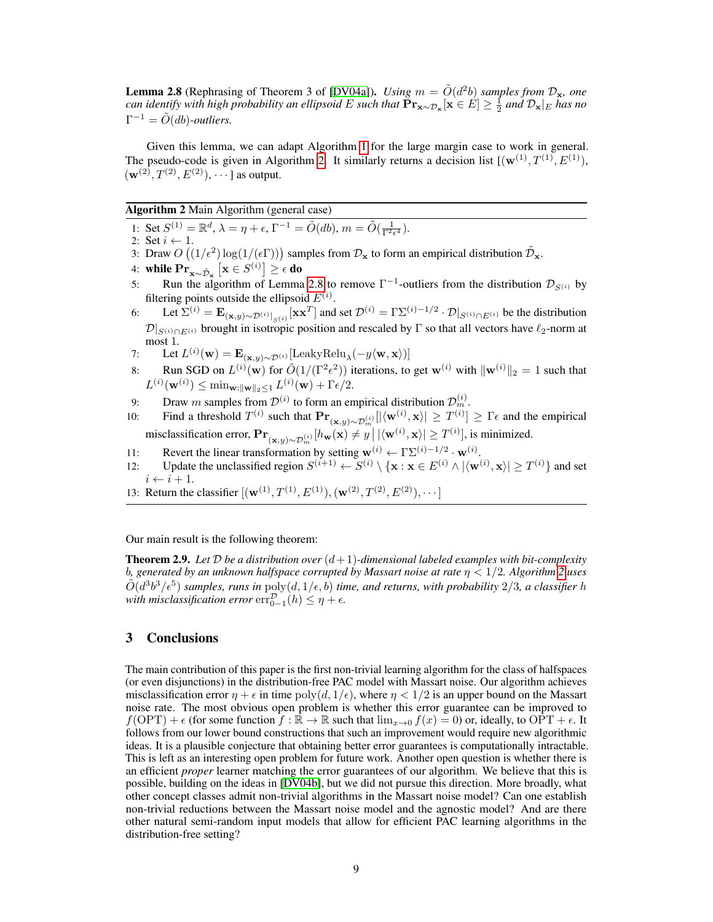**Lemma 2.8** (Rephrasing of Theorem 3 of [\[DV04a\]](#page-10-14)). *Using*  $m = \tilde{O}(d^2b)$  *samples from*  $\mathcal{D}_{\mathbf{x}}$ *, one can identify with high probability an ellipsoid* E *such that* Prx∼D<sup>x</sup> [x ∈ E] ≥ 1 2 *and* Dx|<sup>E</sup> *has no*  $\Gamma^{-1} = \tilde{O}(db)$ -outliers.

Given this lemma, we can adapt Algorithm [1](#page-5-2) for the large margin case to work in general. The pseudo-code is given in Algorithm [2.](#page-8-1) It similarly returns a decision list  $[(\mathbf{w}^{(1)}, T^{(1)}, E^{(1)}),$  $(w^{(2)}, T^{(2)}, E^{(2)})$ ,  $\cdots$  as output.

Algorithm 2 Main Algorithm (general case)

<span id="page-8-1"></span>1: Set  $S^{(1)} = \mathbb{R}^d$ ,  $\lambda = \eta + \epsilon$ ,  $\Gamma^{-1} = \tilde{O}(db)$ ,  $m = \tilde{O}(\frac{1}{\Gamma^2 \epsilon^4})$ .

2: Set  $i \leftarrow 1$ .

- 3: Draw  $O((1/\epsilon^2) \log(1/(\epsilon \Gamma)))$  samples from  $\mathcal{D}_x$  to form an empirical distribution  $\tilde{\mathcal{D}}_x$ .
- 4: while  $\mathrm{Pr}_{\mathbf{x} \sim \tilde{\mathcal{D}}_{\mathbf{x}}}\left[\mathbf{x} \in S^{(i)}\right] \geq \epsilon$  do
- 5: Run the algorithm of Lemma [2.8](#page-7-1) to remove  $\Gamma^{-1}$ -outliers from the distribution  $\mathcal{D}_{S^{(i)}}$  by filtering points outside the ellipsoid  $E^{(i)}$ .
- 6: Let  $\Sigma^{(i)} = \mathbf{E}_{(\mathbf{x},y) \sim \mathcal{D}^{(i)}|_{S^{(i)}}} [\mathbf{x} \mathbf{x}^T]$  and set  $\mathcal{D}^{(i)} = \Gamma \Sigma^{(i)-1/2} \cdot \mathcal{D}|_{S^{(i)} \cap E^{(i)}}$  be the distribution  $\mathcal{D}|_{S^{(i)} \cap E^{(i)}}$  brought in isotropic position and rescaled by Γ so that all vectors have  $\ell_2$ -norm at most 1.
- 7: Let  $L^{(i)}(\mathbf{w}) = \mathbf{E}_{(\mathbf{x},y) \sim \mathcal{D}^{(i)}}[\text{LeakyRelu}_{\lambda}(-y \langle \mathbf{w}, \mathbf{x} \rangle)]$
- 8: Run SGD on  $L^{(i)}(\mathbf{w})$  for  $\tilde{O}(1/(\Gamma^2 \epsilon^2))$  iterations, to get  $\mathbf{w}^{(i)}$  with  $\|\mathbf{w}^{(i)}\|_2 = 1$  such that  $L^{(i)}(\mathbf{w}^{(i)}) \leq \min_{\mathbf{w}:\|\mathbf{w}\|_2 \leq 1} L^{(i)}(\mathbf{w}) + \Gamma \epsilon/2.$
- 9: Draw m samples from  $\mathcal{D}^{(i)}$  to form an empirical distribution  $\mathcal{D}_m^{(i)}$ .
- 10: Find a threshold  $T^{(i)}$  such that  $\mathbf{Pr}_{(\mathbf{x},y) \sim \mathcal{D}_m^{(i)}}[|\langle \mathbf{w}^{(i)}, \mathbf{x} \rangle| \geq T^{(i)}] \geq \Gamma \epsilon$  and the empirical misclassification error,  $\mathbf{Pr}_{(\mathbf{x}, y) \sim \mathcal{D}_m^{(i)}} [h_{\mathbf{w}}(\mathbf{x}) \neq y \, \big| \, |\langle \mathbf{w}^{(i)}, \mathbf{x} \rangle| \ge T^{(i)}]$ , is minimized.
- 11: Revert the linear transformation by setting  $\mathbf{w}^{(i)} \leftarrow \Gamma \Sigma^{(i)-1/2} \cdot \mathbf{w}^{(i)}$ .
- 12: Update the unclassified region  $S^{(i+1)} \leftarrow S^{(i)} \setminus {\mathbf{x} : \mathbf{x} \in E^{(i)} \land |\langle \mathbf{w}^{(i)}, \mathbf{x} \rangle| \ge T^{(i)}}$  and set  $i \leftarrow i + 1.$
- 13: Return the classifier  $[(\mathbf{w}^{(1)}, T^{(1)}, E^{(1)}), (\mathbf{w}^{(2)}, T^{(2)}, E^{(2)}), \cdots]$

Our main result is the following theorem:

<span id="page-8-0"></span>**Theorem 2.9.** Let  $D$  be a distribution over  $(d+1)$ -dimensional labeled examples with bit-complexity b*, generated by an unknown halfspace corrupted by Massart noise at rate* η < 1/2*. Algorithm [2](#page-8-1) uses*  $\tilde{O}(d^3b^3/\epsilon^5)$  samples, runs in  $poly(d, 1/\epsilon, b)$  time, and returns, with probability 2/3, a classifier h with misclassification error  $\text{err}_{0-1}^{\mathcal{D}}(h) \leq \eta + \epsilon$ .

# 3 Conclusions

The main contribution of this paper is the first non-trivial learning algorithm for the class of halfspaces (or even disjunctions) in the distribution-free PAC model with Massart noise. Our algorithm achieves misclassification error  $\eta + \epsilon$  in time  $\text{poly}(d, 1/\epsilon)$ , where  $\eta < 1/2$  is an upper bound on the Massart noise rate. The most obvious open problem is whether this error guarantee can be improved to  $f(\text{OPT}) + \epsilon$  (for some function  $f : \mathbb{R} \to \mathbb{R}$  such that  $\lim_{x\to 0} f(x) = 0$ ) or, ideally, to OPT +  $\epsilon$ . It follows from our lower bound constructions that such an improvement would require new algorithmic ideas. It is a plausible conjecture that obtaining better error guarantees is computationally intractable. This is left as an interesting open problem for future work. Another open question is whether there is an efficient *proper* learner matching the error guarantees of our algorithm. We believe that this is possible, building on the ideas in [\[DV04b\]](#page-10-15), but we did not pursue this direction. More broadly, what other concept classes admit non-trivial algorithms in the Massart noise model? Can one establish non-trivial reductions between the Massart noise model and the agnostic model? And are there other natural semi-random input models that allow for efficient PAC learning algorithms in the distribution-free setting?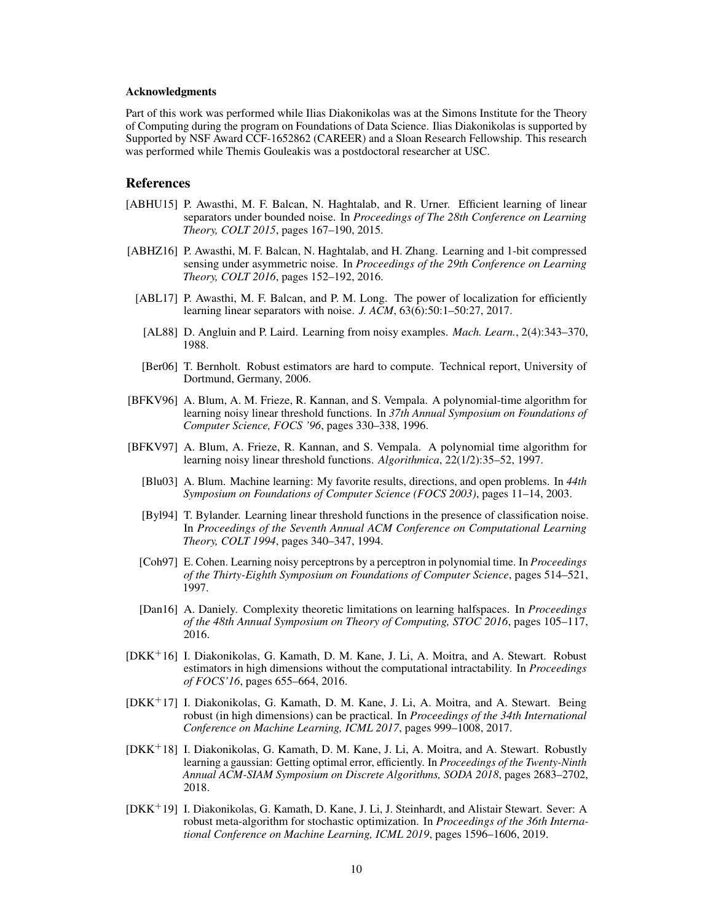#### Acknowledgments

Part of this work was performed while Ilias Diakonikolas was at the Simons Institute for the Theory of Computing during the program on Foundations of Data Science. Ilias Diakonikolas is supported by Supported by NSF Award CCF-1652862 (CAREER) and a Sloan Research Fellowship. This research was performed while Themis Gouleakis was a postdoctoral researcher at USC.

## **References**

- <span id="page-9-13"></span>[ABHU15] P. Awasthi, M. F. Balcan, N. Haghtalab, and R. Urner. Efficient learning of linear separators under bounded noise. In *Proceedings of The 28th Conference on Learning Theory, COLT 2015*, pages 167–190, 2015.
- <span id="page-9-14"></span><span id="page-9-6"></span>[ABHZ16] P. Awasthi, M. F. Balcan, N. Haghtalab, and H. Zhang. Learning and 1-bit compressed sensing under asymmetric noise. In *Proceedings of the 29th Conference on Learning Theory, COLT 2016*, pages 152–192, 2016.
	- [ABL17] P. Awasthi, M. F. Balcan, and P. M. Long. The power of localization for efficiently learning linear separators with noise. *J. ACM*, 63(6):50:1–50:27, 2017.
	- [AL88] D. Angluin and P. Laird. Learning from noisy examples. *Mach. Learn.*, 2(4):343–370, 1988.
	- [Ber06] T. Bernholt. Robust estimators are hard to compute. Technical report, University of Dortmund, Germany, 2006.
- <span id="page-9-11"></span><span id="page-9-2"></span><span id="page-9-1"></span>[BFKV96] A. Blum, A. M. Frieze, R. Kannan, and S. Vempala. A polynomial-time algorithm for learning noisy linear threshold functions. In *37th Annual Symposium on Foundations of Computer Science, FOCS '96*, pages 330–338, 1996.
- <span id="page-9-12"></span><span id="page-9-5"></span><span id="page-9-3"></span>[BFKV97] A. Blum, A. Frieze, R. Kannan, and S. Vempala. A polynomial time algorithm for learning noisy linear threshold functions. *Algorithmica*, 22(1/2):35–52, 1997.
	- [Blu03] A. Blum. Machine learning: My favorite results, directions, and open problems. In *44th Symposium on Foundations of Computer Science (FOCS 2003)*, pages 11–14, 2003.
	- [Byl94] T. Bylander. Learning linear threshold functions in the presence of classification noise. In *Proceedings of the Seventh Annual ACM Conference on Computational Learning Theory, COLT 1994*, pages 340–347, 1994.
	- [Coh97] E. Cohen. Learning noisy perceptrons by a perceptron in polynomial time. In *Proceedings of the Thirty-Eighth Symposium on Foundations of Computer Science*, pages 514–521, 1997.
	- [Dan16] A. Daniely. Complexity theoretic limitations on learning halfspaces. In *Proceedings of the 48th Annual Symposium on Theory of Computing, STOC 2016*, pages 105–117, 2016.
- <span id="page-9-7"></span><span id="page-9-4"></span><span id="page-9-0"></span>[DKK<sup>+</sup>16] I. Diakonikolas, G. Kamath, D. M. Kane, J. Li, A. Moitra, and A. Stewart. Robust estimators in high dimensions without the computational intractability. In *Proceedings of FOCS'16*, pages 655–664, 2016.
- <span id="page-9-8"></span>[DKK<sup>+</sup>17] I. Diakonikolas, G. Kamath, D. M. Kane, J. Li, A. Moitra, and A. Stewart. Being robust (in high dimensions) can be practical. In *Proceedings of the 34th International Conference on Machine Learning, ICML 2017*, pages 999–1008, 2017.
- <span id="page-9-9"></span>[DKK<sup>+</sup>18] I. Diakonikolas, G. Kamath, D. M. Kane, J. Li, A. Moitra, and A. Stewart. Robustly learning a gaussian: Getting optimal error, efficiently. In *Proceedings of the Twenty-Ninth Annual ACM-SIAM Symposium on Discrete Algorithms, SODA 2018*, pages 2683–2702, 2018.
- <span id="page-9-10"></span>[DKK<sup>+</sup>19] I. Diakonikolas, G. Kamath, D. Kane, J. Li, J. Steinhardt, and Alistair Stewart. Sever: A robust meta-algorithm for stochastic optimization. In *Proceedings of the 36th International Conference on Machine Learning, ICML 2019*, pages 1596–1606, 2019.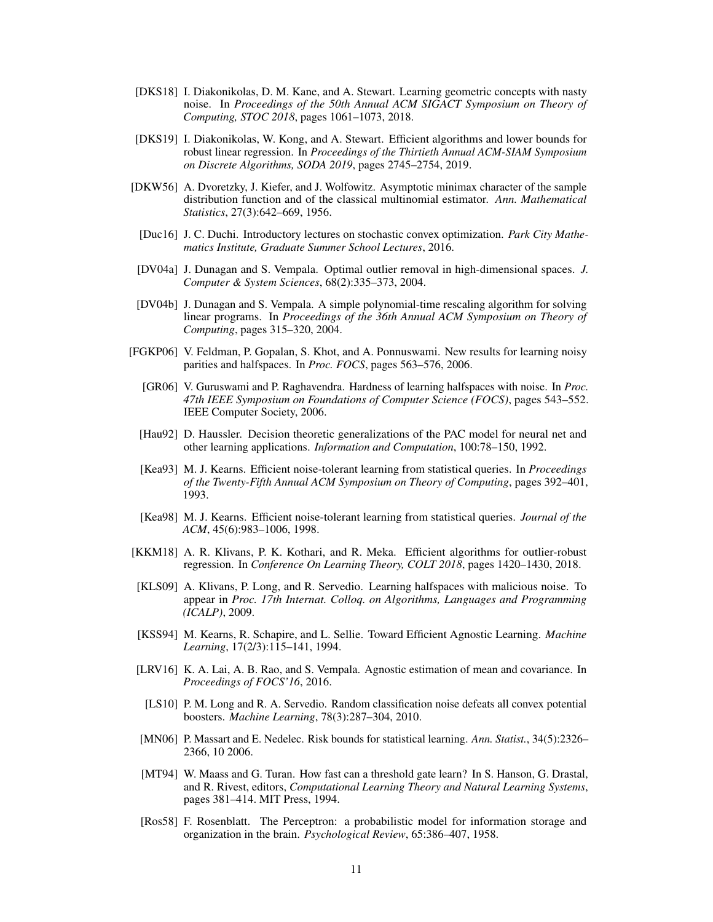- <span id="page-10-9"></span>[DKS18] I. Diakonikolas, D. M. Kane, and A. Stewart. Learning geometric concepts with nasty noise. In *Proceedings of the 50th Annual ACM SIGACT Symposium on Theory of Computing, STOC 2018*, pages 1061–1073, 2018.
- <span id="page-10-11"></span>[DKS19] I. Diakonikolas, W. Kong, and A. Stewart. Efficient algorithms and lower bounds for robust linear regression. In *Proceedings of the Thirtieth Annual ACM-SIAM Symposium on Discrete Algorithms, SODA 2019*, pages 2745–2754, 2019.
- <span id="page-10-17"></span>[DKW56] A. Dvoretzky, J. Kiefer, and J. Wolfowitz. Asymptotic minimax character of the sample distribution function and of the classical multinomial estimator. *Ann. Mathematical Statistics*, 27(3):642–669, 1956.
- <span id="page-10-16"></span>[Duc16] J. C. Duchi. Introductory lectures on stochastic convex optimization. *Park City Mathematics Institute, Graduate Summer School Lectures*, 2016.
- <span id="page-10-14"></span>[DV04a] J. Dunagan and S. Vempala. Optimal outlier removal in high-dimensional spaces. *J. Computer & System Sciences*, 68(2):335–373, 2004.
- <span id="page-10-15"></span>[DV04b] J. Dunagan and S. Vempala. A simple polynomial-time rescaling algorithm for solving linear programs. In *Proceedings of the 36th Annual ACM Symposium on Theory of Computing*, pages 315–320, 2004.
- <span id="page-10-5"></span><span id="page-10-4"></span><span id="page-10-2"></span>[FGKP06] V. Feldman, P. Gopalan, S. Khot, and A. Ponnuswami. New results for learning noisy parities and halfspaces. In *Proc. FOCS*, pages 563–576, 2006.
	- [GR06] V. Guruswami and P. Raghavendra. Hardness of learning halfspaces with noise. In *Proc. 47th IEEE Symposium on Foundations of Computer Science (FOCS)*, pages 543–552. IEEE Computer Society, 2006.
	- [Hau92] D. Haussler. Decision theoretic generalizations of the PAC model for neural net and other learning applications. *Information and Computation*, 100:78–150, 1992.
	- [Kea93] M. J. Kearns. Efficient noise-tolerant learning from statistical queries. In *Proceedings of the Twenty-Fifth Annual ACM Symposium on Theory of Computing*, pages 392–401, 1993.
	- [Kea98] M. J. Kearns. Efficient noise-tolerant learning from statistical queries. *Journal of the ACM*, 45(6):983–1006, 1998.
- <span id="page-10-13"></span><span id="page-10-12"></span><span id="page-10-10"></span>[KKM18] A. R. Klivans, P. K. Kothari, and R. Meka. Efficient algorithms for outlier-robust regression. In *Conference On Learning Theory, COLT 2018*, pages 1420–1430, 2018.
- <span id="page-10-7"></span>[KLS09] A. Klivans, P. Long, and R. Servedio. Learning halfspaces with malicious noise. To appear in *Proc. 17th Internat. Colloq. on Algorithms, Languages and Programming (ICALP)*, 2009.
- <span id="page-10-3"></span>[KSS94] M. Kearns, R. Schapire, and L. Sellie. Toward Efficient Agnostic Learning. *Machine Learning*, 17(2/3):115–141, 1994.
- <span id="page-10-8"></span>[LRV16] K. A. Lai, A. B. Rao, and S. Vempala. Agnostic estimation of mean and covariance. In *Proceedings of FOCS'16*, 2016.
- [LS10] P. M. Long and R. A. Servedio. Random classification noise defeats all convex potential boosters. *Machine Learning*, 78(3):287–304, 2010.
- <span id="page-10-6"></span>[MN06] P. Massart and E. Nedelec. Risk bounds for statistical learning. *Ann. Statist.*, 34(5):2326– 2366, 10 2006.
- <span id="page-10-1"></span>[MT94] W. Maass and G. Turan. How fast can a threshold gate learn? In S. Hanson, G. Drastal, and R. Rivest, editors, *Computational Learning Theory and Natural Learning Systems*, pages 381–414. MIT Press, 1994.
- <span id="page-10-0"></span>[Ros58] F. Rosenblatt. The Perceptron: a probabilistic model for information storage and organization in the brain. *Psychological Review*, 65:386–407, 1958.